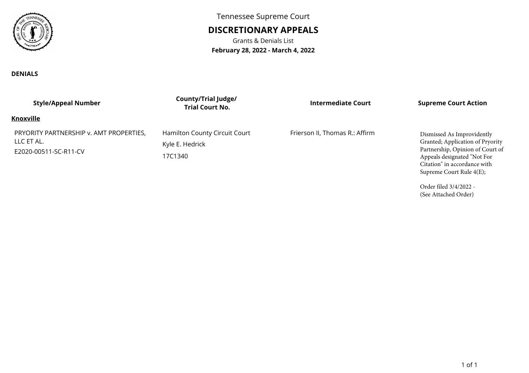

**DENIALS**

Tennessee Supreme Court

## **DISCRETIONARY APPEALS**

Grants & Denials List**February 28, 2022 - March 4, 2022**

| <b>Style/Appeal Number</b>                                                     | <b>County/Trial Judge/</b><br><b>Trial Court No.</b>        | Intermediate Court             | <b>Supreme Court Action</b>                                                                                                                                                                   |
|--------------------------------------------------------------------------------|-------------------------------------------------------------|--------------------------------|-----------------------------------------------------------------------------------------------------------------------------------------------------------------------------------------------|
| <b>Knoxville</b>                                                               |                                                             |                                |                                                                                                                                                                                               |
| PRYORITY PARTNERSHIP v. AMT PROPERTIES,<br>LLC ET AL.<br>E2020-00511-SC-R11-CV | Hamilton County Circuit Court<br>Kyle E. Hedrick<br>17C1340 | Frierson II, Thomas R.: Affirm | Dismissed As Improvidently<br>Granted; Application of Pryority<br>Partnership, Opinion of Court of<br>Appeals designated "Not For<br>Citation" in accordance with<br>Supreme Court Rule 4(E); |
|                                                                                |                                                             |                                | $O_{\text{radon}}$ filed $2/1/2022$                                                                                                                                                           |

Order filed 3/4/2022 -(See Attached Order)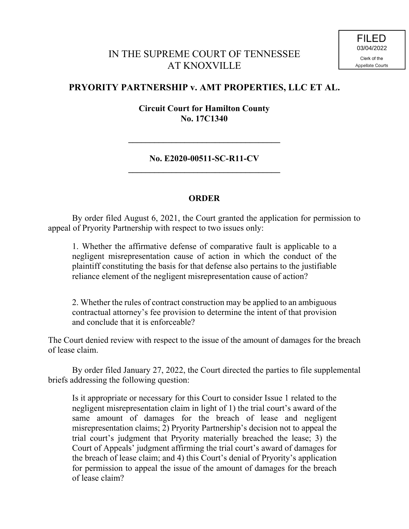## IN THE SUPREME COURT OF TENNESSEE AT KNOXVILLE

## **PRYORITY PARTNERSHIP v. AMT PROPERTIES, LLC ET AL.**

**Circuit Court for Hamilton County No. 17C1340**

**No. E2020-00511-SC-R11-CV \_\_\_\_\_\_\_\_\_\_\_\_\_\_\_\_\_\_\_\_\_\_\_\_\_\_\_\_\_\_\_\_\_\_\_**

**\_\_\_\_\_\_\_\_\_\_\_\_\_\_\_\_\_\_\_\_\_\_\_\_\_\_\_\_\_\_\_\_\_\_\_**

## **ORDER**

By order filed August 6, 2021, the Court granted the application for permission to appeal of Pryority Partnership with respect to two issues only:

1. Whether the affirmative defense of comparative fault is applicable to a negligent misrepresentation cause of action in which the conduct of the plaintiff constituting the basis for that defense also pertains to the justifiable reliance element of the negligent misrepresentation cause of action?

2. Whether the rules of contract construction may be applied to an ambiguous contractual attorney's fee provision to determine the intent of that provision and conclude that it is enforceable?

The Court denied review with respect to the issue of the amount of damages for the breach of lease claim.

By order filed January 27, 2022, the Court directed the parties to file supplemental briefs addressing the following question:

Is it appropriate or necessary for this Court to consider Issue 1 related to the negligent misrepresentation claim in light of 1) the trial court's award of the same amount of damages for the breach of lease and negligent misrepresentation claims; 2) Pryority Partnership's decision not to appeal the trial court's judgment that Pryority materially breached the lease; 3) the Court of Appeals' judgment affirming the trial court's award of damages for the breach of lease claim; and 4) this Court's denial of Pryority's application for permission to appeal the issue of the amount of damages for the breach of lease claim?